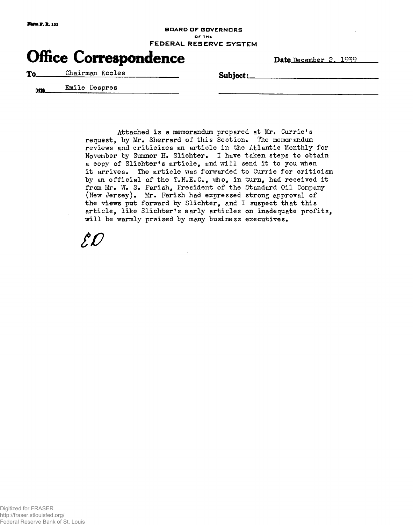## **BOARD OF GOVERNORS o r THE FEDERA L RESERVE SYSTE M**

## **Office Correspondence**

Date December 2, 1939

To Chairman Eccles **Subject:** 

**<sup>J</sup> <sup>m</sup> Emile Despres** 

**Attached i s a memorandum prepared at Mr. Currie's**  request, by Mr. Sherrard of this Section. The memorandum reviews and criticizes an article in the Atlantic Monthly for **November by Sumner E. Slichter. I have taken steps to obtain a copy of Slichter\* s article , and wil l send i t to you when**  it arrives. The article was forwarded to Currie for criticism by an official of the T.N.E.C., who, in turn, had received it from Mr. W. S. Farish, President of the Standard Oil Company **(New Jersey). Mr. Farish had expressed strong approval of**  the views put forward by Slichter, and I suspect that this **article , lik e Slichter' s earl y article s on inadequate profits ,**  will be warmly praised by many business executives.

*w*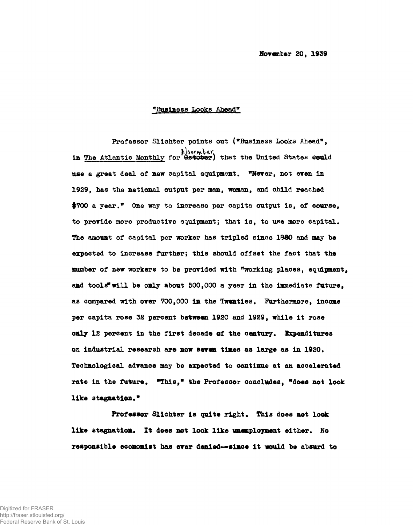## "Business Looks Ahead"

Professor Slichter points out ("Business Looks Ahead", in The Atlantic Monthly for Catober) that the United States could use a great deal of new capital equipment. Wever, not even in 1929, has the national output per man, woman, and child reached \$700 a year." One way to increase per capita output is, of course, to provide more productive equipment; that is, to use more capital. The amount of capital per worker has tripled since 1880 and may be expected to increase further; this should offset the fact that the mumber of new workers to be provided with "working places, equipment. and tools" will be only about  $500,000$  a year in the immediate future, as compared with over 700,000 in the Twenties. Furthermore, income per capita rose 32 percent between 1920 and 1929, while it rose only 12 percent in the first decade of the century. Expenditures

Professor Slichter is quite right. This does not look like stagnation. It does not look like unamployment either. No responsible economist has ever denied--simoe it would be absurd to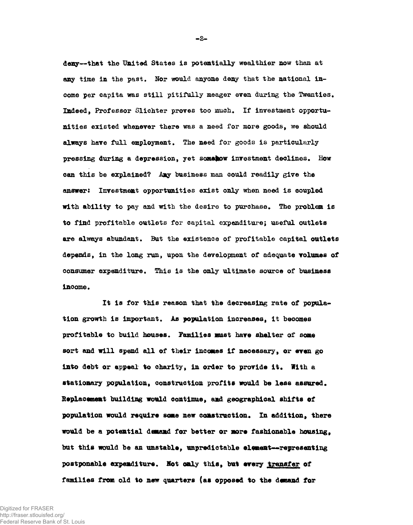deny--that the United States is potentially wealthier now than at any time in the past. Nor would anyone deny that the national income per capita was still pitifully meager even during the Twenties. Indeed, Professor Slichter proves too much. If investment opportunities existed whenever there was a need for more goods, we should always have full employment. The need for goods is particularly pressing during a depression, yet somahow investment declines. How can this be explained? Any business man could readily give the answer: Investment opportunities exist only when need is coupled with ability to pay and with the desire to purchase. The problem is to find profitable outlets for capital expenditure; useful outlets are always abundant. But the existence of profitable capital outlets depends, in the long run, upon the development of adequate volumes of consumer expenditure. This is the only ultimate source of business income.

It is for this reason that the decreasing rate of population growth is important. As population increases, it becomes profitable to build houses. Families must have shelter of some sort and will spend all of their incomes if necessary, or even go **into debt or appeal to charity, in order to provide it . With a stationary population, construction profits would be less assured. Replacement building would continue, and geographical shifts of population would require seme new construction. In addition, there would be a potential daoamd for better or more fashionable housing, but this would be an unstable, unpredictable e l went—representing postponable expenditure. Not only this, but every transfer of**  families from old to new quarters (as opposed to the demand for

Digitized for FRASER http://fraser.stlouisfed.org/ Federal Reserve Bank of St. Louis **- 2 -**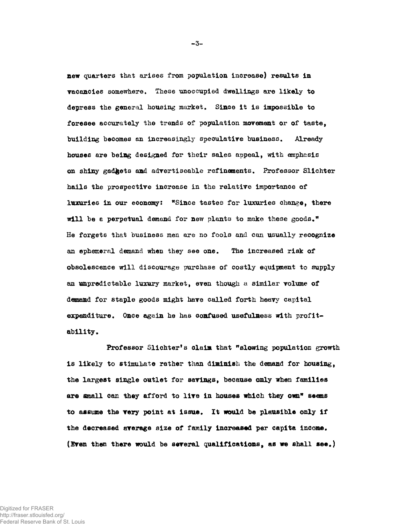new quarters that arises from population increase) results in vacancies somewhere. These unoccupied dwellings are likely to depress the general housing market. Since it is impossible to foresee accurately the trends of population movement or of taste, building becomes an increasingly speculative business. Already houses are being designed for their sales appeal, with emphasis on shiny gadgets and advertiseable refinements. Professor Slichter hails the prospective increase in the relative importance of luxuries in our economy: "Since tastes for luxuries change, there will be a perpetual demand for new plants to make these goods." **He** forgets that business **men** are no fools **and can** usually recognize an ephemeral demand when they see one. The increased risk of obsolescence will discourage purchase of costly equipment to supply an unpredictable luxury market, even though **a** similar volume of demand for staple goods might have called forth heavy capital expenditure. Once again he has confused usefulness with profitability.

Professor Slichter's claim that "slowing population growth is likely to stimulate rather than diminish the demand for housing, the largest single outlet for savings, because only when families are small can they afford to live in houses which they own" seems to assume the very point at issue. It would be plausible only if the decreased average size of family increased per capita income. (Even then there would be several qualifications, as we shall see.)

**-3-**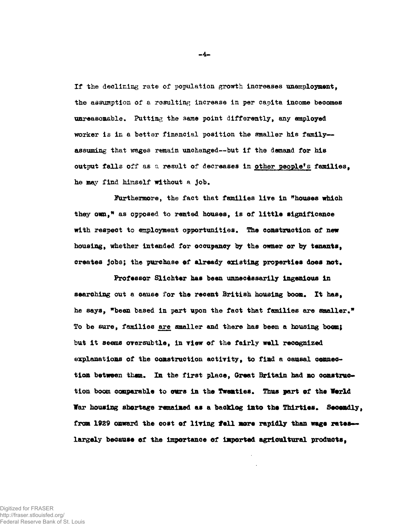If the declining rate of population growth increases unemployment, the assumption of a resulting increase in per capita income becomes unreasonable. Putting the same point differently, any employed worker is in a better financial position the smaller his family-assuming that wages remain unchanged -- but if the demand for his output falls off as a result of decreases in other people's families, he may find himself without a job.

**Furthermore, the fact that families live in "houses which**  they own," as opposed to rented houses, is of little significance **with respect** to **employment opportunities. The construction of new housing, whether intended for occupancy by the owner or by tenants,**  creates jobs; the purchase of already existing properties does not.

Professor Slichter has been unnecessarily ingenious in searching out a cause for the recent British housing boom. It has, **he says, "been based in part upon the fact that families are smaller." To be sure, families are smaller and there has been a housing boom}**  but it seems oversubtle, in view of the fairly well recognized **explanations of the construction activity , to find a causal connec**tion between tham. In the first place, Great Britain had no construc**tion boom comparable to curs in the Twenties. Thus part of the Vorld Var housing shortage remained as a backlog into ths Thirties. Secondly, from 1929 onward the cost of living fel l more rapidly than wags rates largely because of the importance of imported agricultural products,** 

Digitized for FRASER http://fraser.stlouisfed.org/ Federal Reserve Bank of St. Louis **- 4 -**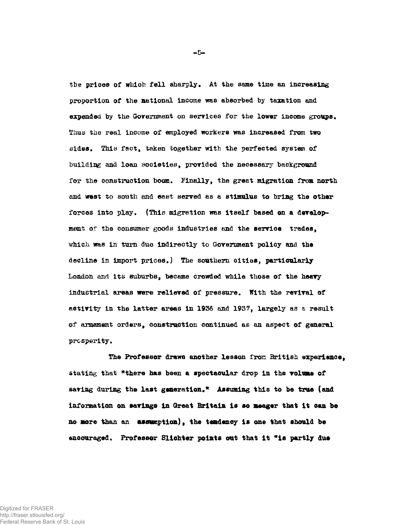the prices of which fell sharply. At the same time an increasing proportion of the national income was absorbed by taxation and expended by the Government on services for the lower income groups. Thus the real income of employed workers was increased from two sides. This fact, taken together with the perfected system of building and loan societies, provided the necessary background for the construction boom. Finally, the great migration from north and west to south and east served as a stimulus to bring the other forces into play. (This migration was itself based on a development of the consumer goods industries and the service trades, which was in turn due indirectly to Government policy and the decline in import prices.) The southern cities, particularly London and its suburbs, became crowded while those of the heavy industrial areas were relieved of pressure. With the revival of activity in the latter areas in 1936 and 1937, largely as a result of armament orders, construction continued as an aspect of general prosperity.

**The Professor draws another lesson fron British experience,**  stating that **"there has** been **a spectacular drop in** the **volume of saving during the last generation." Assuming this to be true (and information on savings in Great Britain is so meager that i t can be no more than** an **assumption), the tsadency is one that should be**  encouraged. Professor Slichter points out that it "is partly due

**- 5 -**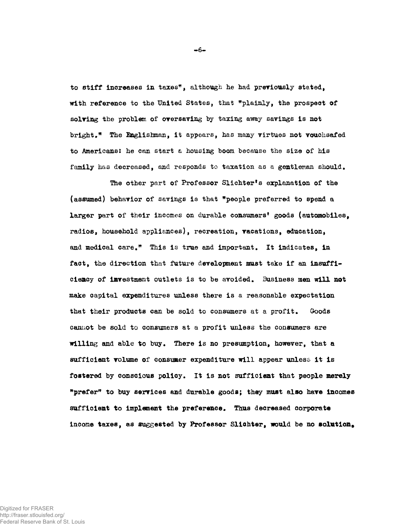to stiff increases in taxes", although he had previously stated. with reference to the United States, that "plainly, the prospect of solving the problem of oversaving by taxing away savings is not bright." The Englishman, it appears, has many virtues not vouchsafed to Americans: he can start a housing boom because the size of his family has decreased, and responds to taxation as a gentleman should.

The other part of Professor Slichter's explanation of the (assumed) behavior of savings is that "people preferred to spend a larger part of their incomes on durable consumers' goods (automobiles, radios, household appliances), recreation, vacations, education, and medical care." This is true and important. It indicates, in fact, the direction that future development must take if an insufficiency of investment outlets is to be avoided. Business men will not make capital expenditures unless there is a reasonable expectation that their products can be sold to consumers at a profit. Goods cannot be sold to consumers at a profit unless the consumers are willing and able to buy. There is no presumption, however, that a sufficient volume of consumer expenditure will appear unless it is fostered by conscious policy. It is not sufficient that people merely "prefer" to buy services and durable goods; they must also have incomes sufficient to implement the preference. Thus decreased corporate income taxes, as suggested by Professor Slichter, would be no solution.

 $-6-$